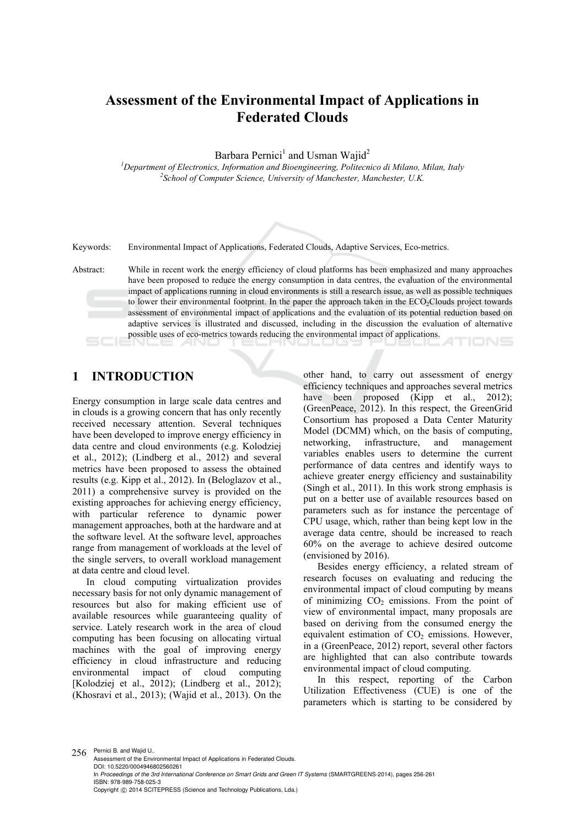# **Assessment of the Environmental Impact of Applications in Federated Clouds**

Barbara Pernici<sup>1</sup> and Usman Wajid<sup>2</sup>

<sup>1</sup><br>
<sup>1</sup>Department of Electronics, Information and Bioengineering, Politecnico di Milano, Milan, Italy <sup>2</sup>Sebool of Computer Science, University of Manghestar, Manghestar, U.V. *School of Computer Science, University of Manchester, Manchester, U.K.* 

Keywords: Environmental Impact of Applications, Federated Clouds, Adaptive Services, Eco-metrics.

Abstract: While in recent work the energy efficiency of cloud platforms has been emphasized and many approaches have been proposed to reduce the energy consumption in data centres, the evaluation of the environmental impact of applications running in cloud environments is still a research issue, as well as possible techniques to lower their environmental footprint. In the paper the approach taken in the ECO<sub>2</sub>Clouds project towards assessment of environmental impact of applications and the evaluation of its potential reduction based on adaptive services is illustrated and discussed, including in the discussion the evaluation of alternative possible uses of eco-metrics towards reducing the environmental impact of applications. TIONS

## **1 INTRODUCTION**

Energy consumption in large scale data centres and in clouds is a growing concern that has only recently received necessary attention. Several techniques have been developed to improve energy efficiency in data centre and cloud environments (e.g. Kolodziej et al., 2012); (Lindberg et al., 2012) and several metrics have been proposed to assess the obtained results (e.g. Kipp et al., 2012). In (Beloglazov et al., 2011) a comprehensive survey is provided on the existing approaches for achieving energy efficiency, with particular reference to dynamic power management approaches, both at the hardware and at the software level. At the software level, approaches range from management of workloads at the level of the single servers, to overall workload management at data centre and cloud level.

In cloud computing virtualization provides necessary basis for not only dynamic management of resources but also for making efficient use of available resources while guaranteeing quality of service. Lately research work in the area of cloud computing has been focusing on allocating virtual machines with the goal of improving energy efficiency in cloud infrastructure and reducing environmental impact of cloud computing [Kolodziej et al., 2012); (Lindberg et al., 2012); (Khosravi et al., 2013); (Wajid et al., 2013). On the

other hand, to carry out assessment of energy efficiency techniques and approaches several metrics have been proposed (Kipp et al., 2012); (GreenPeace, 2012). In this respect, the GreenGrid Consortium has proposed a Data Center Maturity Model (DCMM) which, on the basis of computing, networking, infrastructure, and management variables enables users to determine the current performance of data centres and identify ways to achieve greater energy efficiency and sustainability (Singh et al., 2011). In this work strong emphasis is put on a better use of available resources based on parameters such as for instance the percentage of CPU usage, which, rather than being kept low in the average data centre, should be increased to reach 60% on the average to achieve desired outcome (envisioned by 2016).

Besides energy efficiency, a related stream of research focuses on evaluating and reducing the environmental impact of cloud computing by means of minimizing  $CO<sub>2</sub>$  emissions. From the point of view of environmental impact, many proposals are based on deriving from the consumed energy the equivalent estimation of  $CO<sub>2</sub>$  emissions. However, in a (GreenPeace, 2012) report, several other factors are highlighted that can also contribute towards environmental impact of cloud computing.

In this respect, reporting of the Carbon Utilization Effectiveness (CUE) is one of the parameters which is starting to be considered by

256 Pernici B. and Wajid U.. Assessment of the Environmental Impact of Applications in Federated Clouds. DOI: 10.5220/0004946802560261 In *Proceedings of the 3rd International Conference on Smart Grids and Green IT Systems* (SMARTGREENS-2014), pages 256-261 ISBN: 978-989-758-025-3 Copyright (C) 2014 SCITEPRESS (Science and Technology Publications, Lda.)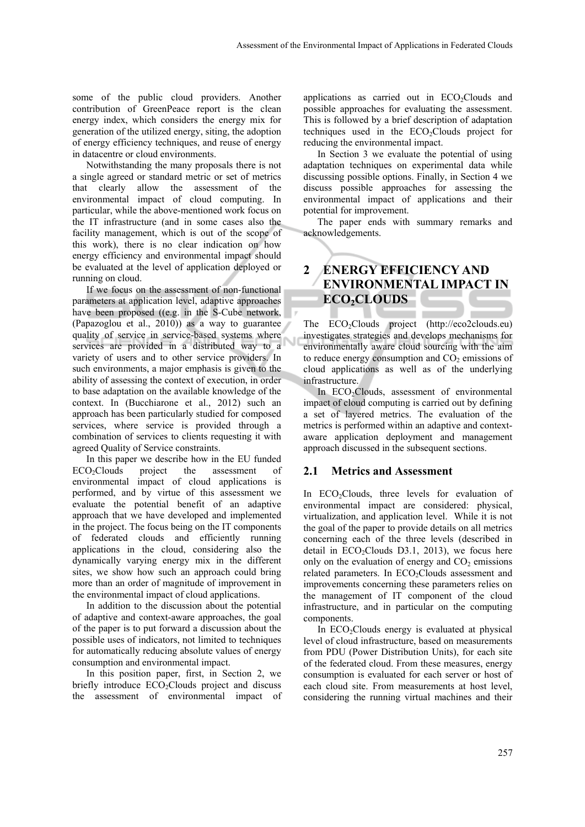some of the public cloud providers. Another contribution of GreenPeace report is the clean energy index, which considers the energy mix for generation of the utilized energy, siting, the adoption of energy efficiency techniques, and reuse of energy in datacentre or cloud environments.

Notwithstanding the many proposals there is not a single agreed or standard metric or set of metrics that clearly allow the assessment of the environmental impact of cloud computing. In particular, while the above-mentioned work focus on the IT infrastructure (and in some cases also the facility management, which is out of the scope of this work), there is no clear indication on how energy efficiency and environmental impact should be evaluated at the level of application deployed or running on cloud.

If we focus on the assessment of non-functional parameters at application level, adaptive approaches have been proposed ((e.g. in the S-Cube network, (Papazoglou et al., 2010)) as a way to guarantee quality of service in service-based systems where services are provided in a distributed way to a variety of users and to other service providers. In such environments, a major emphasis is given to the ability of assessing the context of execution, in order to base adaptation on the available knowledge of the context. In (Bucchiarone et al., 2012) such an approach has been particularly studied for composed services, where service is provided through a combination of services to clients requesting it with agreed Quality of Service constraints.

In this paper we describe how in the EU funded ECO2Clouds project the assessment of environmental impact of cloud applications is performed, and by virtue of this assessment we evaluate the potential benefit of an adaptive approach that we have developed and implemented in the project. The focus being on the IT components of federated clouds and efficiently running applications in the cloud, considering also the dynamically varying energy mix in the different sites, we show how such an approach could bring more than an order of magnitude of improvement in the environmental impact of cloud applications.

In addition to the discussion about the potential of adaptive and context-aware approaches, the goal of the paper is to put forward a discussion about the possible uses of indicators, not limited to techniques for automatically reducing absolute values of energy consumption and environmental impact.

In this position paper, first, in Section 2, we briefly introduce ECO<sub>2</sub>Clouds project and discuss the assessment of environmental impact of

applications as carried out in  $ECO<sub>2</sub>Clouds$  and possible approaches for evaluating the assessment. This is followed by a brief description of adaptation techniques used in the  $ECO<sub>2</sub>Clouds$  project for reducing the environmental impact.

In Section 3 we evaluate the potential of using adaptation techniques on experimental data while discussing possible options. Finally, in Section 4 we discuss possible approaches for assessing the environmental impact of applications and their potential for improvement.

The paper ends with summary remarks and acknowledgements.

## **2 ENERGY EFFICIENCY AND ENVIRONMENTAL IMPACT IN ECO<sub>2</sub>CLOUDS**

The ECO2Clouds project (http://eco2clouds.eu) investigates strategies and develops mechanisms for environmentally aware cloud sourcing with the aim to reduce energy consumption and  $CO<sub>2</sub>$  emissions of cloud applications as well as of the underlying infrastructure.

In ECO<sub>2</sub>Clouds, assessment of environmental impact of cloud computing is carried out by defining a set of layered metrics. The evaluation of the metrics is performed within an adaptive and contextaware application deployment and management approach discussed in the subsequent sections.

#### **2.1 Metrics and Assessment**

In ECO<sub>2</sub>Clouds, three levels for evaluation of environmental impact are considered: physical, virtualization, and application level. While it is not the goal of the paper to provide details on all metrics concerning each of the three levels (described in detail in  $ECO<sub>2</sub>Clouds$  D3.1, 2013), we focus here only on the evaluation of energy and  $CO<sub>2</sub>$  emissions related parameters. In ECO<sub>2</sub>Clouds assessment and improvements concerning these parameters relies on the management of IT component of the cloud infrastructure, and in particular on the computing components.

In  $ECO<sub>2</sub>Clouds$  energy is evaluated at physical level of cloud infrastructure, based on measurements from PDU (Power Distribution Units), for each site of the federated cloud. From these measures, energy consumption is evaluated for each server or host of each cloud site. From measurements at host level, considering the running virtual machines and their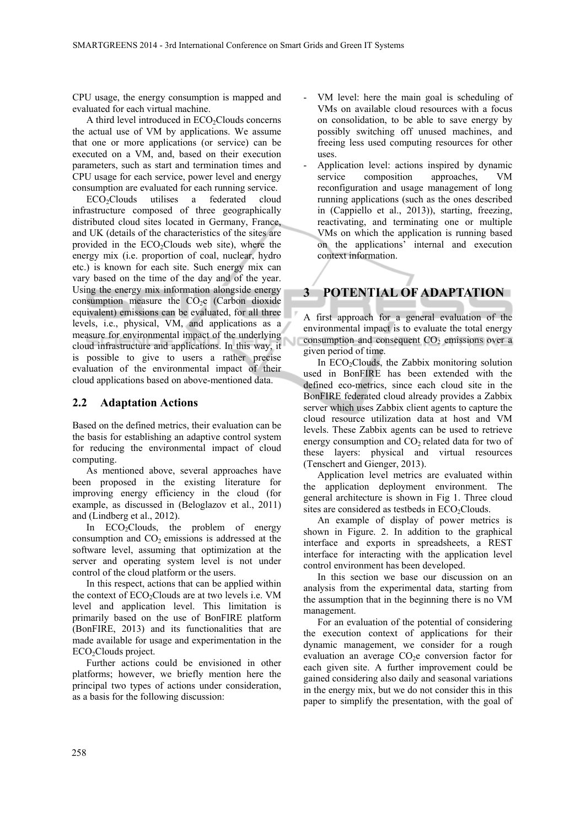CPU usage, the energy consumption is mapped and evaluated for each virtual machine.

A third level introduced in  $ECO<sub>2</sub>Clouds$  concerns the actual use of VM by applications. We assume that one or more applications (or service) can be executed on a VM, and, based on their execution parameters, such as start and termination times and CPU usage for each service, power level and energy consumption are evaluated for each running service.

ECO<sub>2</sub>Clouds utilises a federated cloud infrastructure composed of three geographically distributed cloud sites located in Germany, France, and UK (details of the characteristics of the sites are provided in the  $ECO<sub>2</sub>Clouds$  web site), where the energy mix (i.e. proportion of coal, nuclear, hydro etc.) is known for each site. Such energy mix can vary based on the time of the day and of the year. Using the energy mix information alongside energy consumption measure the  $CO<sub>2</sub>e$  (Carbon dioxide equivalent) emissions can be evaluated, for all three levels, i.e., physical, VM, and applications as a measure for environmental impact of the underlying cloud infrastructure and applications. In this way, it is possible to give to users a rather precise evaluation of the environmental impact of their cloud applications based on above-mentioned data.

#### **2.2 Adaptation Actions**

Based on the defined metrics, their evaluation can be the basis for establishing an adaptive control system for reducing the environmental impact of cloud computing.

As mentioned above, several approaches have been proposed in the existing literature for improving energy efficiency in the cloud (for example, as discussed in (Beloglazov et al., 2011) and (Lindberg et al., 2012).

In  $ECO<sub>2</sub>Clouds$ , the problem of energy consumption and  $CO<sub>2</sub>$  emissions is addressed at the software level, assuming that optimization at the server and operating system level is not under control of the cloud platform or the users.

In this respect, actions that can be applied within the context of ECO<sub>2</sub>Clouds are at two levels i.e. VM level and application level. This limitation is primarily based on the use of BonFIRE platform (BonFIRE, 2013) and its functionalities that are made available for usage and experimentation in the ECO<sub>2</sub>Clouds project.

Further actions could be envisioned in other platforms; however, we briefly mention here the principal two types of actions under consideration, as a basis for the following discussion:

- VM level: here the main goal is scheduling of VMs on available cloud resources with a focus on consolidation, to be able to save energy by possibly switching off unused machines, and freeing less used computing resources for other uses.
- Application level: actions inspired by dynamic service composition approaches, VM reconfiguration and usage management of long running applications (such as the ones described in (Cappiello et al., 2013)), starting, freezing, reactivating, and terminating one or multiple VMs on which the application is running based on the applications' internal and execution context information.

# **3 POTENTIAL OF ADAPTATION**

A first approach for a general evaluation of the environmental impact is to evaluate the total energy consumption and consequent  $CO<sub>2</sub>$  emissions over a given period of time.

In ECO<sub>2</sub>Clouds, the Zabbix monitoring solution used in BonFIRE has been extended with the defined eco-metrics, since each cloud site in the BonFIRE federated cloud already provides a Zabbix server which uses Zabbix client agents to capture the cloud resource utilization data at host and VM levels. These Zabbix agents can be used to retrieve energy consumption and  $CO<sub>2</sub>$  related data for two of these layers: physical and virtual resources (Tenschert and Gienger, 2013).

Application level metrics are evaluated within the application deployment environment. The general architecture is shown in Fig 1. Three cloud sites are considered as testbeds in  $ECO<sub>2</sub>Clouds$ .

An example of display of power metrics is shown in Figure. 2. In addition to the graphical interface and exports in spreadsheets, a REST interface for interacting with the application level control environment has been developed.

In this section we base our discussion on an analysis from the experimental data, starting from the assumption that in the beginning there is no VM management.

For an evaluation of the potential of considering the execution context of applications for their dynamic management, we consider for a rough evaluation an average  $CO<sub>2</sub>e$  conversion factor for each given site. A further improvement could be gained considering also daily and seasonal variations in the energy mix, but we do not consider this in this paper to simplify the presentation, with the goal of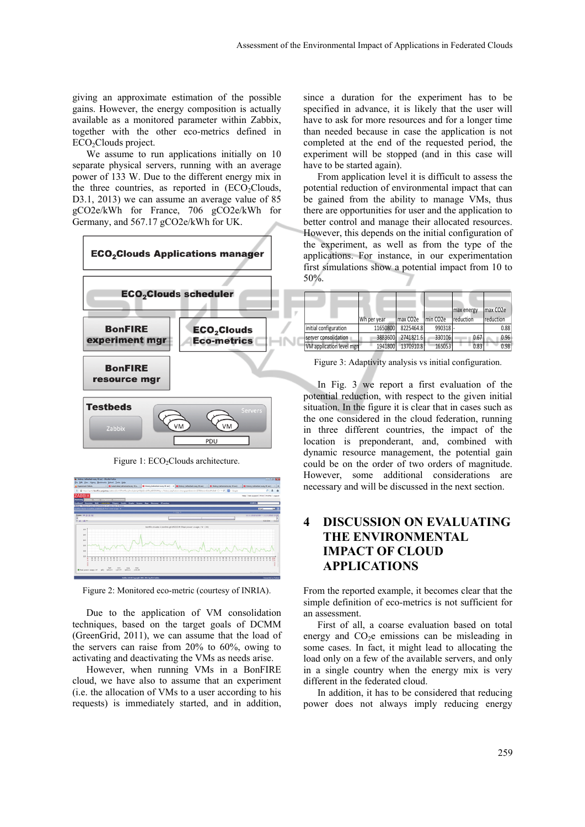giving an approximate estimation of the possible gains. However, the energy composition is actually available as a monitored parameter within Zabbix, together with the other eco-metrics defined in ECO<sub>2</sub>Clouds project.

We assume to run applications initially on 10 separate physical servers, running with an average power of 133 W. Due to the different energy mix in the three countries, as reported in  $(ECO<sub>2</sub>Clouds,$ D3.1, 2013) we can assume an average value of 85 gCO2e/kWh for France, 706 gCO2e/kWh for Germany, and 567.17 gCO2e/kWh for UK.



Figure 1: ECO<sub>2</sub>Clouds architecture.



Figure 2: Monitored eco-metric (courtesy of INRIA).

Due to the application of VM consolidation techniques, based on the target goals of DCMM (GreenGrid, 2011), we can assume that the load of the servers can raise from 20% to 60%, owing to activating and deactivating the VMs as needs arise.

However, when running VMs in a BonFIRE cloud, we have also to assume that an experiment (i.e. the allocation of VMs to a user according to his requests) is immediately started, and in addition,

since a duration for the experiment has to be specified in advance, it is likely that the user will have to ask for more resources and for a longer time than needed because in case the application is not completed at the end of the requested period, the experiment will be stopped (and in this case will have to be started again).

From application level it is difficult to assess the potential reduction of environmental impact that can be gained from the ability to manage VMs, thus there are opportunities for user and the application to better control and manage their allocated resources. However, this depends on the initial configuration of the experiment, as well as from the type of the applications. For instance, in our experimentation first simulations show a potential impact from 10 to 50%.

|                          |             |           |                       | max energy       | max CO <sub>2</sub> e |
|--------------------------|-------------|-----------|-----------------------|------------------|-----------------------|
|                          | Wh per year | lmax CO2e | min CO <sub>2</sub> e | <i>reduction</i> | reduction             |
| initial configuration    | 11650800    | 8225464.8 | 990318                |                  | 0.88                  |
| Iserver consolidation    | 3883600     | 2741821.6 | 330106                | 0.67             | 0.96                  |
| VM application level mgn | 1941800     | 1370910.8 | 165053                | 0.83             | 0.98                  |

Figure 3: Adaptivity analysis vs initial configuration.

In Fig. 3 we report a first evaluation of the potential reduction, with respect to the given initial situation. In the figure it is clear that in cases such as the one considered in the cloud federation, running in three different countries, the impact of the location is preponderant, and, combined with dynamic resource management, the potential gain could be on the order of two orders of magnitude. However, some additional considerations are necessary and will be discussed in the next section.

## **4 DISCUSSION ON EVALUATING THE ENVIRONMENTAL IMPACT OF CLOUD APPLICATIONS**

From the reported example, it becomes clear that the simple definition of eco-metrics is not sufficient for an assessment.

First of all, a coarse evaluation based on total energy and  $CO<sub>2</sub>e$  emissions can be misleading in some cases. In fact, it might lead to allocating the load only on a few of the available servers, and only in a single country when the energy mix is very different in the federated cloud.

In addition, it has to be considered that reducing power does not always imply reducing energy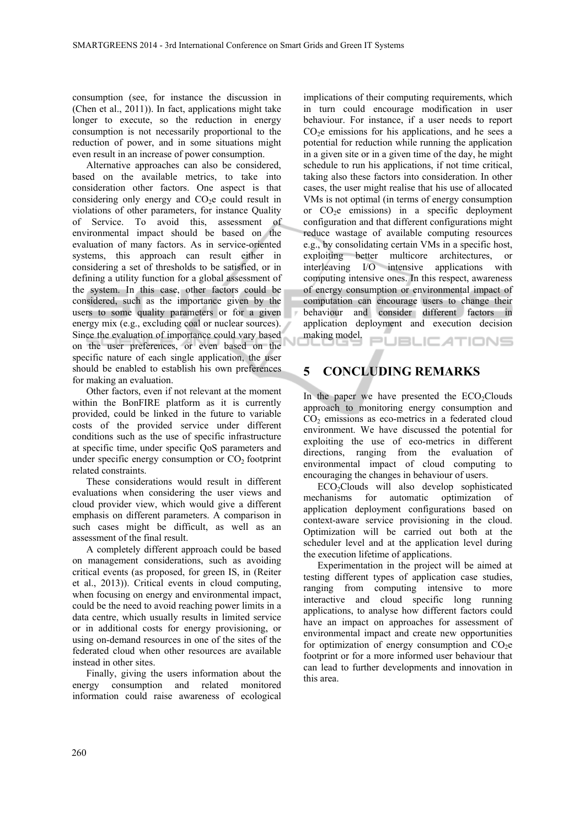consumption (see, for instance the discussion in (Chen et al., 2011)). In fact, applications might take longer to execute, so the reduction in energy consumption is not necessarily proportional to the reduction of power, and in some situations might even result in an increase of power consumption.

Alternative approaches can also be considered, based on the available metrics, to take into consideration other factors. One aspect is that considering only energy and  $CO<sub>2</sub>e$  could result in violations of other parameters, for instance Quality of Service. To avoid this, assessment of environmental impact should be based on the evaluation of many factors. As in service-oriented systems, this approach can result either in considering a set of thresholds to be satisfied, or in defining a utility function for a global assessment of the system. In this case, other factors could be considered, such as the importance given by the users to some quality parameters or for a given energy mix (e.g., excluding coal or nuclear sources). Since the evaluation of importance could vary based on the user preferences, or even based on the specific nature of each single application, the user should be enabled to establish his own preferences for making an evaluation.

Other factors, even if not relevant at the moment within the BonFIRE platform as it is currently provided, could be linked in the future to variable costs of the provided service under different conditions such as the use of specific infrastructure at specific time, under specific QoS parameters and under specific energy consumption or  $CO<sub>2</sub>$  footprint related constraints.

These considerations would result in different evaluations when considering the user views and cloud provider view, which would give a different emphasis on different parameters. A comparison in such cases might be difficult, as well as an assessment of the final result.

A completely different approach could be based on management considerations, such as avoiding critical events (as proposed, for green IS, in (Reiter et al., 2013)). Critical events in cloud computing, when focusing on energy and environmental impact, could be the need to avoid reaching power limits in a data centre, which usually results in limited service or in additional costs for energy provisioning, or using on-demand resources in one of the sites of the federated cloud when other resources are available instead in other sites.

Finally, giving the users information about the energy consumption and related monitored information could raise awareness of ecological

implications of their computing requirements, which in turn could encourage modification in user behaviour. For instance, if a user needs to report  $CO<sub>2</sub>e$  emissions for his applications, and he sees a potential for reduction while running the application in a given site or in a given time of the day, he might schedule to run his applications, if not time critical, taking also these factors into consideration. In other cases, the user might realise that his use of allocated VMs is not optimal (in terms of energy consumption or  $CO<sub>2</sub>e$  emissions) in a specific deployment configuration and that different configurations might reduce wastage of available computing resources e.g., by consolidating certain VMs in a specific host, exploiting better multicore architectures, or interleaving I/O intensive applications with computing intensive ones. In this respect, awareness of energy consumption or environmental impact of computation can encourage users to change their behaviour and consider different factors in application deployment and execution decision making model. PUBLIC ATIONS

**5 CONCLUDING REMARKS** 

In the paper we have presented the  $ECO<sub>2</sub>Clouds$ approach to monitoring energy consumption and  $CO<sub>2</sub>$  emissions as eco-metrics in a federated cloud environment. We have discussed the potential for exploiting the use of eco-metrics in different directions, ranging from the evaluation of environmental impact of cloud computing to encouraging the changes in behaviour of users.

ECO2Clouds will also develop sophisticated mechanisms for automatic optimization of application deployment configurations based on context-aware service provisioning in the cloud. Optimization will be carried out both at the scheduler level and at the application level during the execution lifetime of applications.

Experimentation in the project will be aimed at testing different types of application case studies, ranging from computing intensive to more interactive and cloud specific long running applications, to analyse how different factors could have an impact on approaches for assessment of environmental impact and create new opportunities for optimization of energy consumption and  $CO<sub>2</sub>e$ footprint or for a more informed user behaviour that can lead to further developments and innovation in this area.